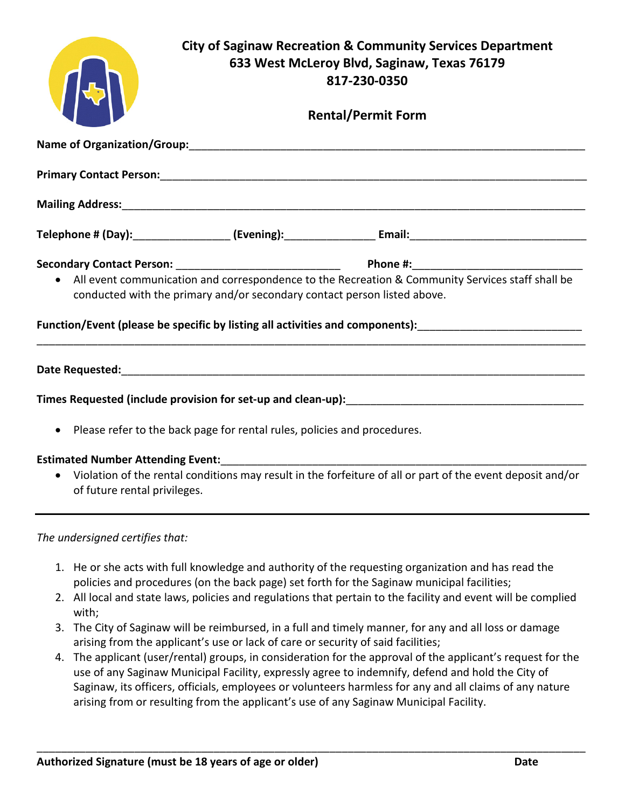|                                                                                                                                                                                                                                                                                                |                                                                                                                                            | <b>City of Saginaw Recreation &amp; Community Services Department</b><br>633 West McLeroy Blvd, Saginaw, Texas 76179<br>817-230-0350<br><b>Rental/Permit Form</b> |  |
|------------------------------------------------------------------------------------------------------------------------------------------------------------------------------------------------------------------------------------------------------------------------------------------------|--------------------------------------------------------------------------------------------------------------------------------------------|-------------------------------------------------------------------------------------------------------------------------------------------------------------------|--|
|                                                                                                                                                                                                                                                                                                |                                                                                                                                            |                                                                                                                                                                   |  |
|                                                                                                                                                                                                                                                                                                |                                                                                                                                            |                                                                                                                                                                   |  |
|                                                                                                                                                                                                                                                                                                |                                                                                                                                            |                                                                                                                                                                   |  |
|                                                                                                                                                                                                                                                                                                |                                                                                                                                            |                                                                                                                                                                   |  |
| All event communication and correspondence to the Recreation & Community Services staff shall be<br>conducted with the primary and/or secondary contact person listed above.<br>Function/Event (please be specific by listing all activities and components):_________________________________ |                                                                                                                                            |                                                                                                                                                                   |  |
|                                                                                                                                                                                                                                                                                                |                                                                                                                                            |                                                                                                                                                                   |  |
| Times Requested (include provision for set-up and clean-up):                                                                                                                                                                                                                                   |                                                                                                                                            |                                                                                                                                                                   |  |
| Please refer to the back page for rental rules, policies and procedures.                                                                                                                                                                                                                       |                                                                                                                                            |                                                                                                                                                                   |  |
|                                                                                                                                                                                                                                                                                                | Violation of the rental conditions may result in the forfeiture of all or part of the event deposit and/or<br>of future rental privileges. |                                                                                                                                                                   |  |

*The undersigned certifies that:*

- 1. He or she acts with full knowledge and authority of the requesting organization and has read the policies and procedures (on the back page) set forth for the Saginaw municipal facilities;
- 2. All local and state laws, policies and regulations that pertain to the facility and event will be complied with;
- 3. The City of Saginaw will be reimbursed, in a full and timely manner, for any and all loss or damage arising from the applicant's use or lack of care or security of said facilities;
- 4. The applicant (user/rental) groups, in consideration for the approval of the applicant's request for the use of any Saginaw Municipal Facility, expressly agree to indemnify, defend and hold the City of Saginaw, its officers, officials, employees or volunteers harmless for any and all claims of any nature arising from or resulting from the applicant's use of any Saginaw Municipal Facility.

\_\_\_\_\_\_\_\_\_\_\_\_\_\_\_\_\_\_\_\_\_\_\_\_\_\_\_\_\_\_\_\_\_\_\_\_\_\_\_\_\_\_\_\_\_\_\_\_\_\_\_\_\_\_\_\_\_\_\_\_\_\_\_\_\_\_\_\_\_\_\_\_\_\_\_\_\_\_\_\_\_\_\_\_\_\_\_\_\_\_